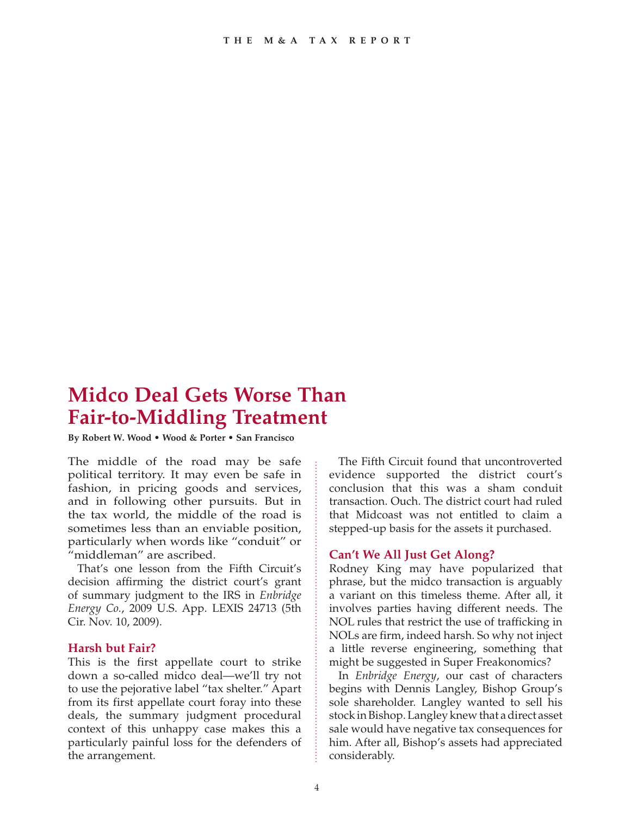# **Midco Deal Gets Worse Than Fair-to-Middling Treatment**

**By Robert W. Wood • Wood & Porter • San Francisco**

The middle of the road may be safe political territory. It may even be safe in fashion, in pricing goods and services, and in following other pursuits. But in the tax world, the middle of the road is sometimes less than an enviable position, particularly when words like "conduit" or "middleman" are ascribed.

That's one lesson from the Fifth Circuit's decision affirming the district court's grant of summary judgment to the IRS in *Enbridge Energy Co.*, 2009 U.S. App. LEXIS 24713 (5th Cir. Nov. 10, 2009).

## **Harsh but Fair?**

This is the first appellate court to strike down a so-called midco deal—we'll try not to use the pejorative label "tax shelter." Apart from its first appellate court foray into these deals, the summary judgment procedural context of this unhappy case makes this a particularly painful loss for the defenders of the arrangement.

The Fifth Circuit found that uncontroverted evidence supported the district court's conclusion that this was a sham conduit transaction. Ouch. The district court had ruled that Midcoast was not entitled to claim a stepped-up basis for the assets it purchased.

# **Can't We All Just Get Along?**

Rodney King may have popularized that phrase, but the midco transaction is arguably a variant on this timeless theme. After all, it involves parties having different needs. The NOL rules that restrict the use of trafficking in NOLs are firm, indeed harsh. So why not inject a little reverse engineering, something that might be suggested in Super Freakonomics?

In *Enbridge Energy*, our cast of characters begins with Dennis Langley, Bishop Group's sole shareholder. Langley wanted to sell his stock in Bishop. Langley knew that a direct asset sale would have negative tax consequences for him. After all, Bishop's assets had appreciated considerably.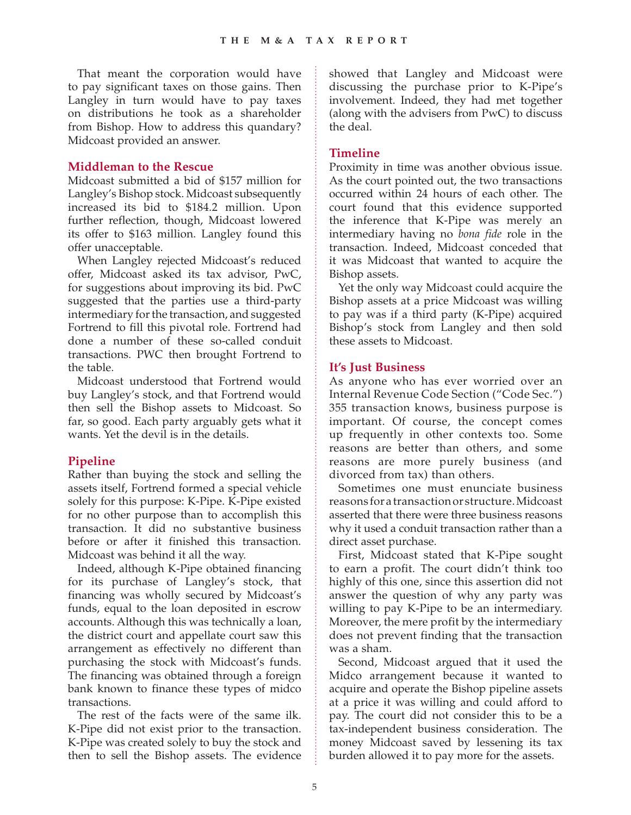That meant the corporation would have to pay significant taxes on those gains. Then Langley in turn would have to pay taxes on distributions he took as a shareholder from Bishop. How to address this quandary? Midcoast provided an answer.

#### **Middleman to the Rescue**

Midcoast submitted a bid of \$157 million for Langley's Bishop stock. Midcoast subsequently increased its bid to \$184.2 million. Upon further reflection, though, Midcoast lowered its offer to \$163 million. Langley found this offer unacceptable.

When Langley rejected Midcoast's reduced offer, Midcoast asked its tax advisor, PwC, for suggestions about improving its bid. PwC suggested that the parties use a third-party intermediary for the transaction, and suggested Fortrend to fill this pivotal role. Fortrend had done a number of these so-called conduit transactions. PWC then brought Fortrend to the table.

Midcoast understood that Fortrend would buy Langley's stock, and that Fortrend would then sell the Bishop assets to Midcoast. So far, so good. Each party arguably gets what it wants. Yet the devil is in the details.

## **Pipeline**

Rather than buying the stock and selling the assets itself, Fortrend formed a special vehicle solely for this purpose: K-Pipe. K-Pipe existed for no other purpose than to accomplish this transaction. It did no substantive business before or after it finished this transaction. Midcoast was behind it all the way.

Indeed, although K-Pipe obtained financing for its purchase of Langley's stock, that financing was wholly secured by Midcoast's funds, equal to the loan deposited in escrow accounts. Although this was technically a loan, the district court and appellate court saw this arrangement as effectively no different than purchasing the stock with Midcoast's funds. The financing was obtained through a foreign bank known to finance these types of midco transactions.

The rest of the facts were of the same ilk. K-Pipe did not exist prior to the transaction. K-Pipe was created solely to buy the stock and then to sell the Bishop assets. The evidence showed that Langley and Midcoast were discussing the purchase prior to K-Pipe's involvement. Indeed, they had met together (along with the advisers from PwC) to discuss the deal.

#### **Timeline**

Proximity in time was another obvious issue. As the court pointed out, the two transactions occurred within 24 hours of each other. The court found that this evidence supported the inference that K-Pipe was merely an intermediary having no *bona fide* role in the transaction. Indeed, Midcoast conceded that it was Midcoast that wanted to acquire the Bishop assets.

Yet the only way Midcoast could acquire the Bishop assets at a price Midcoast was willing to pay was if a third party (K-Pipe) acquired Bishop's stock from Langley and then sold these assets to Midcoast.

#### **It's Just Business**

As anyone who has ever worried over an Internal Revenue Code Section ("Code Sec.") 355 transaction knows, business purpose is important. Of course, the concept comes up frequently in other contexts too. Some reasons are better than others, and some reasons are more purely business (and divorced from tax) than others.

Sometimes one must enunciate business reasons for a transaction or structure. Midcoast asserted that there were three business reasons why it used a conduit transaction rather than a direct asset purchase.

First, Midcoast stated that K-Pipe sought to earn a profit. The court didn't think too highly of this one, since this assertion did not answer the question of why any party was willing to pay K-Pipe to be an intermediary. Moreover, the mere profit by the intermediary does not prevent finding that the transaction was a sham.

Second, Midcoast argued that it used the Midco arrangement because it wanted to acquire and operate the Bishop pipeline assets at a price it was willing and could afford to pay. The court did not consider this to be a tax-independent business consideration. The money Midcoast saved by lessening its tax burden allowed it to pay more for the assets.